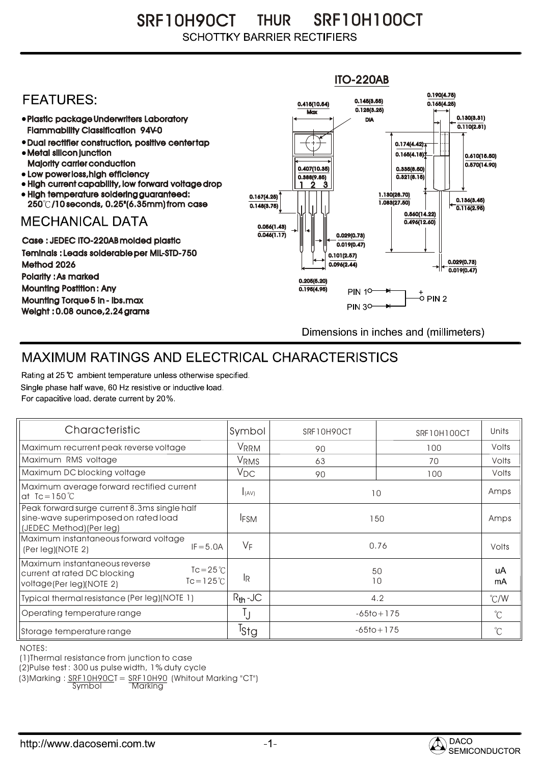SRF10H90CT THUR SRF10H100CT **SCHOTTKY BARRIER RECTIFIERS** 

## ITO-220AB 0.190(4.75) **FFATURFS:** 0.145(3.55) 0.415(10.54) 0.165(4.25)  $Max \overline{0.128(3.25)}$ Plastic package Underwriters Laboratory 0.130(3.31) DIA  $0.110(2.81)$ Flammability Classification 94V-0 Dual rectifier construction, positive center tap 0.174(4.42) Metal silicon junction  $0.165(4.18)$ 0.610(15.50) Majority carrier conduction  $0.570(14.90)$ 0.407(10.35) 0.335(8.50) • Low power loss, high efficiency  $0.321(8.15)$ 0.388(9.85) High current capability, low forward voltage drop 2 1 3 High temperature soldering guaranteed: 1.130(28.70) 0.167(4.25) 250 /10 seconds, 0.25"(6.35mm) from case 1.083(27.50) 0.136(3.45) 0.148(3.75) 0.116(2.95) 0.560(14.22) **MECHANICAL DATA**  $0.496(12.60)$ 0.056(1.43)  $\overline{0.046(1.17)}$   $\rightarrow$   $\|$   $\uparrow$   $\|$   $\|$  0.029(0.73) Case : JEDEC ITO-220AB molded plastic  $0.019(0.47)$ Teminals : Leads solderable per MIL-STD-750 0.101(2.57) 0.029(0.73) Method 2026  $0.096(2.44)$  $0.019(0.47)$ Polarity : As marked 0.205(5.20) Mounting Postition : Any 0.195(4.95) **PIN 10-**Mounting Torque 5 in - lbs.max **PIN 30-**Weight : 0.08 ounce,2.24 grams Dimensions in inches and (millimeters)

## MAXIMUM RATINGS AND ELECTRICAL CHARACTERISTICS

Rating at 25 °C ambient temperature unless otherwise specified. Single phase half wave, 60 Hz resistive or inductive load. For capacitive load, derate current by 20%.

| Characteristic                                                                                                                        | Symbol           | SRF10H90CT     | SRF10H100CT | Units                |
|---------------------------------------------------------------------------------------------------------------------------------------|------------------|----------------|-------------|----------------------|
| Maximum recurrent peak reverse voltage                                                                                                | VRRM             | 90             | 100         | Volts                |
| Maximum RMS voltage                                                                                                                   | V <sub>RMS</sub> | 63             | 70          | Volts                |
| Maximum DC blocking voltage                                                                                                           | $V_{DC}$         | 90             | 100         | Volts                |
| Maximum average forward rectified current<br>at $Ic = 150^{\circ}C$                                                                   | I(AV)            | 10             |             | Amps                 |
| Peak forward surge current 8.3ms single half<br>sine-wave superimposed on rated load<br>(JEDEC Method) (Per leg)                      | <b>IFSM</b>      | 150            |             | Amps                 |
| Maximum instantaneous forward voltage<br>$IF = 5.0A$<br>(Per leg)(NOTE 2)                                                             | $V_F$            | 0.76           |             | Volts                |
| Maximum instantaneous reverse<br>$Tc = 25^{\circ}C$<br>current at rated DC blocking<br>$Tc = 125^{\circ}$<br>voltage(Per leg)(NOTE 2) | IR.              | 50<br>10       |             | uA<br>mA             |
| Typical thermal resistance (Per leg)(NOTE 1)                                                                                          | $R_{th}$ -JC     | 4.2            |             | $\degree$ C/W        |
| Operating temperature range                                                                                                           |                  | $-65$ to + 175 |             | $^{\circ}$ C         |
| Storage temperature range                                                                                                             | <sup>I</sup> Stg | $-65$ to + 175 |             | $\mathrm{C}^{\circ}$ |

NOTES:

(1)Thermal resistance from junction to case

(2)Pulse test : 300 us pulse width, 1% duty cycle

(3)Marking : <u>SRF10H90C</u>T = <u>SRF10H90</u> (Whitout Marking "CT")

Symbol Marking